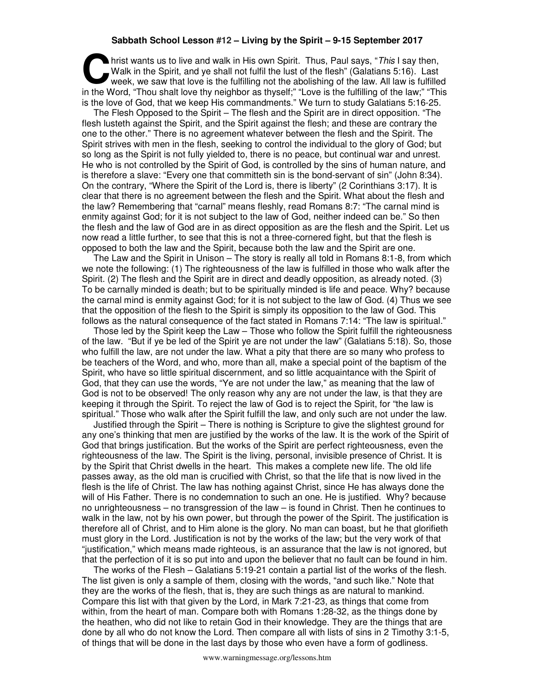## **Sabbath School Lesson #12 – Living by the Spirit – 9-15 September 2017**

**h** hrist wants us to live and walk in His own Spirit. Thus, Paul says, "This I say then, Walk in the Spirit, and ye shall not fulfil the lust of the flesh" (Galatians 5:16). Last week, we saw that love is the fulfilling not the abolishing of the law. All law is fulfilled In the Walk in the Spirit, and ye shall not fulfil the lust of the flesh" (Galatians 5:16). Last week, we saw that love is the fulfilling not the abolishing of the law. All law is fulfilled in the Word, "Thou shalt love th is the love of God, that we keep His commandments." We turn to study Galatians 5:16-25.

The Flesh Opposed to the Spirit – The flesh and the Spirit are in direct opposition. "The flesh lusteth against the Spirit, and the Spirit against the flesh; and these are contrary the one to the other." There is no agreement whatever between the flesh and the Spirit. The Spirit strives with men in the flesh, seeking to control the individual to the glory of God; but so long as the Spirit is not fully yielded to, there is no peace, but continual war and unrest. He who is not controlled by the Spirit of God, is controlled by the sins of human nature, and is therefore a slave: "Every one that committeth sin is the bond-servant of sin" (John 8:34). On the contrary, "Where the Spirit of the Lord is, there is liberty" (2 Corinthians 3:17). It is clear that there is no agreement between the flesh and the Spirit. What about the flesh and the law? Remembering that "carnal" means fleshly, read Romans 8:7: "The carnal mind is enmity against God; for it is not subject to the law of God, neither indeed can be." So then the flesh and the law of God are in as direct opposition as are the flesh and the Spirit. Let us now read a little further, to see that this is not a three-cornered fight, but that the flesh is opposed to both the law and the Spirit, because both the law and the Spirit are one.

The Law and the Spirit in Unison – The story is really all told in Romans 8:1-8, from which we note the following: (1) The righteousness of the law is fulfilled in those who walk after the Spirit. (2) The flesh and the Spirit are in direct and deadly opposition, as already noted. (3) To be carnally minded is death; but to be spiritually minded is life and peace. Why? because the carnal mind is enmity against God; for it is not subject to the law of God. (4) Thus we see that the opposition of the flesh to the Spirit is simply its opposition to the law of God. This follows as the natural consequence of the fact stated in Romans 7:14: "The law is spiritual."

Those led by the Spirit keep the Law – Those who follow the Spirit fulfill the righteousness of the law. "But if ye be led of the Spirit ye are not under the law" (Galatians 5:18). So, those who fulfill the law, are not under the law. What a pity that there are so many who profess to be teachers of the Word, and who, more than all, make a special point of the baptism of the Spirit, who have so little spiritual discernment, and so little acquaintance with the Spirit of God, that they can use the words, "Ye are not under the law," as meaning that the law of God is not to be observed! The only reason why any are not under the law, is that they are keeping it through the Spirit. To reject the law of God is to reject the Spirit, for "the law is spiritual." Those who walk after the Spirit fulfill the law, and only such are not under the law.

Justified through the Spirit – There is nothing is Scripture to give the slightest ground for any one's thinking that men are justified by the works of the law. It is the work of the Spirit of God that brings justification. But the works of the Spirit are perfect righteousness, even the righteousness of the law. The Spirit is the living, personal, invisible presence of Christ. It is by the Spirit that Christ dwells in the heart. This makes a complete new life. The old life passes away, as the old man is crucified with Christ, so that the life that is now lived in the flesh is the life of Christ. The law has nothing against Christ, since He has always done the will of His Father. There is no condemnation to such an one. He is justified. Why? because no unrighteousness – no transgression of the law – is found in Christ. Then he continues to walk in the law, not by his own power, but through the power of the Spirit. The justification is therefore all of Christ, and to Him alone is the glory. No man can boast, but he that glorifieth must glory in the Lord. Justification is not by the works of the law; but the very work of that "justification," which means made righteous, is an assurance that the law is not ignored, but that the perfection of it is so put into and upon the believer that no fault can be found in him.

The works of the Flesh – Galatians 5:19-21 contain a partial list of the works of the flesh. The list given is only a sample of them, closing with the words, "and such like." Note that they are the works of the flesh, that is, they are such things as are natural to mankind. Compare this list with that given by the Lord, in Mark 7:21-23, as things that come from within, from the heart of man. Compare both with Romans 1:28-32, as the things done by the heathen, who did not like to retain God in their knowledge. They are the things that are done by all who do not know the Lord. Then compare all with lists of sins in 2 Timothy 3:1-5, of things that will be done in the last days by those who even have a form of godliness.